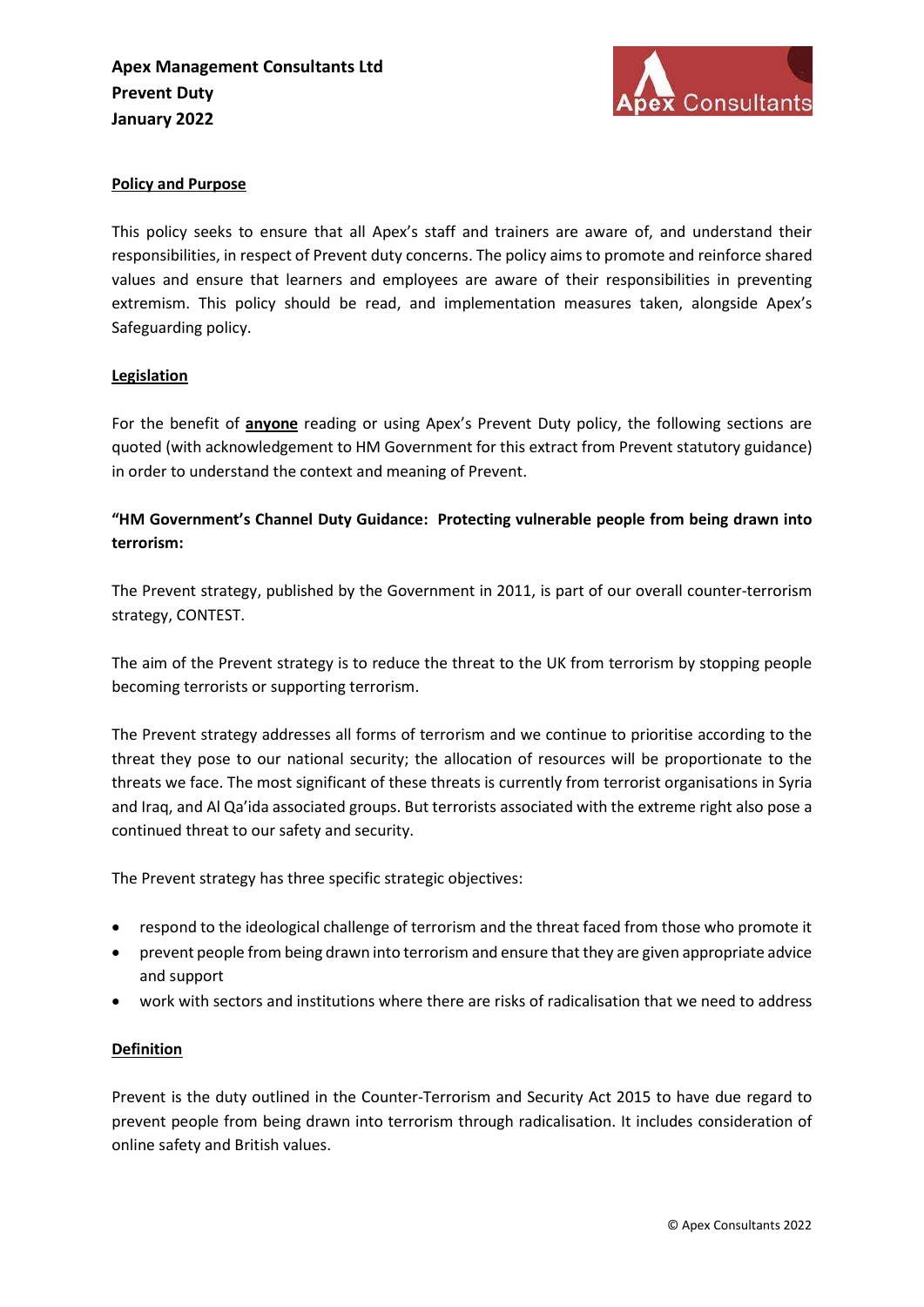

## Policy and Purpose

This policy seeks to ensure that all Apex's staff and trainers are aware of, and understand their responsibilities, in respect of Prevent duty concerns. The policy aims to promote and reinforce shared values and ensure that learners and employees are aware of their responsibilities in preventing extremism. This policy should be read, and implementation measures taken, alongside Apex's Safeguarding policy.

### **Legislation**

For the benefit of anyone reading or using Apex's Prevent Duty policy, the following sections are quoted (with acknowledgement to HM Government for this extract from Prevent statutory guidance) in order to understand the context and meaning of Prevent.

# "HM Government's Channel Duty Guidance: Protecting vulnerable people from being drawn into terrorism:

The Prevent strategy, published by the Government in 2011, is part of our overall counter-terrorism strategy, CONTEST.

The aim of the Prevent strategy is to reduce the threat to the UK from terrorism by stopping people becoming terrorists or supporting terrorism.

The Prevent strategy addresses all forms of terrorism and we continue to prioritise according to the threat they pose to our national security; the allocation of resources will be proportionate to the threats we face. The most significant of these threats is currently from terrorist organisations in Syria and Iraq, and Al Qa'ida associated groups. But terrorists associated with the extreme right also pose a continued threat to our safety and security.

The Prevent strategy has three specific strategic objectives:

- respond to the ideological challenge of terrorism and the threat faced from those who promote it
- prevent people from being drawn into terrorism and ensure that they are given appropriate advice and support
- work with sectors and institutions where there are risks of radicalisation that we need to address

### Definition

Prevent is the duty outlined in the Counter-Terrorism and Security Act 2015 to have due regard to prevent people from being drawn into terrorism through radicalisation. It includes consideration of online safety and British values.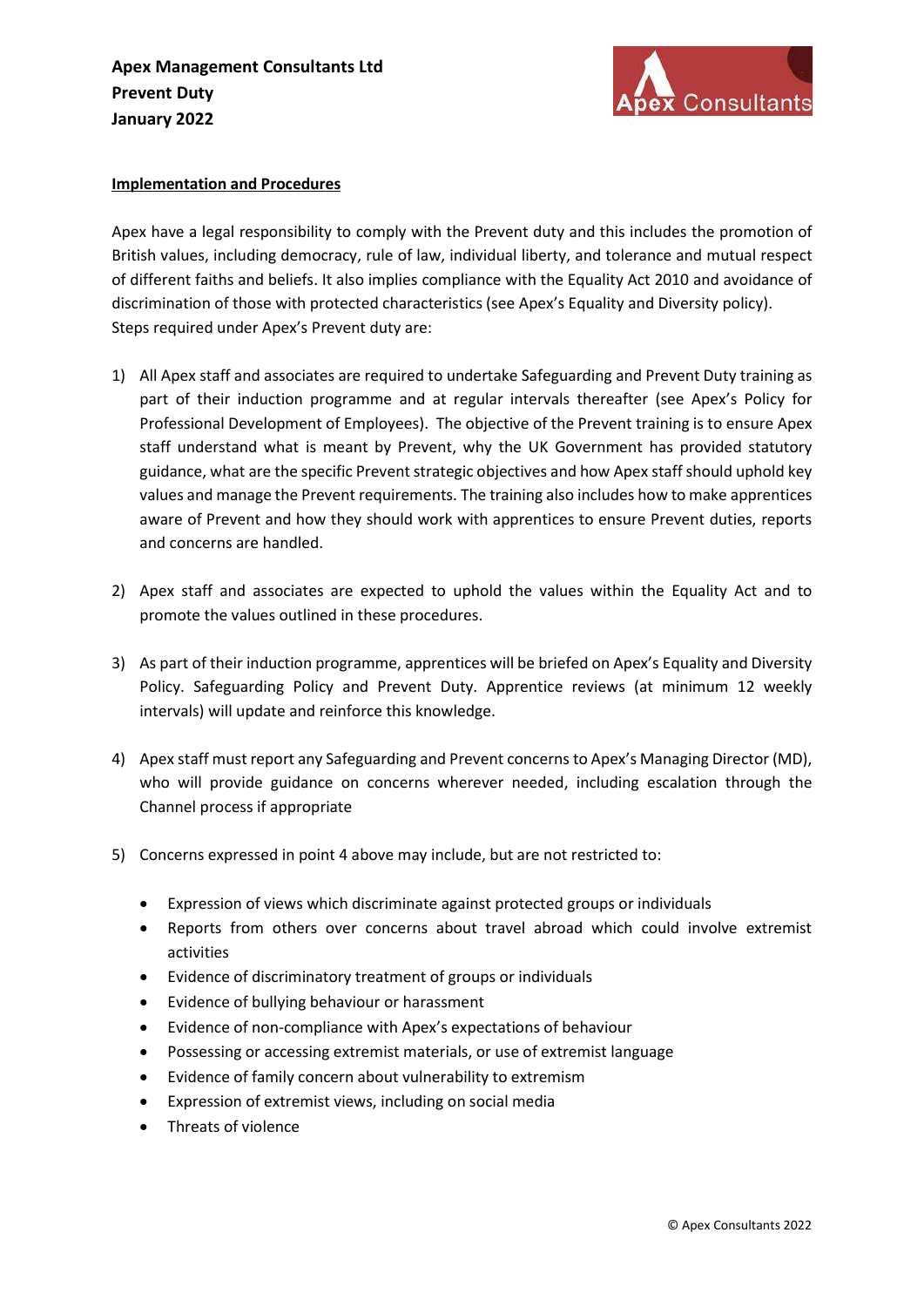

#### Implementation and Procedures

Apex have a legal responsibility to comply with the Prevent duty and this includes the promotion of British values, including democracy, rule of law, individual liberty, and tolerance and mutual respect of different faiths and beliefs. It also implies compliance with the Equality Act 2010 and avoidance of discrimination of those with protected characteristics (see Apex's Equality and Diversity policy). Steps required under Apex's Prevent duty are:

- 1) All Apex staff and associates are required to undertake Safeguarding and Prevent Duty training as part of their induction programme and at regular intervals thereafter (see Apex's Policy for Professional Development of Employees). The objective of the Prevent training is to ensure Apex staff understand what is meant by Prevent, why the UK Government has provided statutory guidance, what are the specific Prevent strategic objectives and how Apex staff should uphold key values and manage the Prevent requirements. The training also includes how to make apprentices aware of Prevent and how they should work with apprentices to ensure Prevent duties, reports and concerns are handled.
- 2) Apex staff and associates are expected to uphold the values within the Equality Act and to promote the values outlined in these procedures.
- 3) As part of their induction programme, apprentices will be briefed on Apex's Equality and Diversity Policy. Safeguarding Policy and Prevent Duty. Apprentice reviews (at minimum 12 weekly intervals) will update and reinforce this knowledge.
- 4) Apex staff must report any Safeguarding and Prevent concerns to Apex's Managing Director (MD), who will provide guidance on concerns wherever needed, including escalation through the Channel process if appropriate
- 5) Concerns expressed in point 4 above may include, but are not restricted to:
	- Expression of views which discriminate against protected groups or individuals
	- Reports from others over concerns about travel abroad which could involve extremist activities
	- Evidence of discriminatory treatment of groups or individuals
	- Evidence of bullying behaviour or harassment
	- Evidence of non-compliance with Apex's expectations of behaviour
	- Possessing or accessing extremist materials, or use of extremist language
	- Evidence of family concern about vulnerability to extremism
	- Expression of extremist views, including on social media
	- Threats of violence